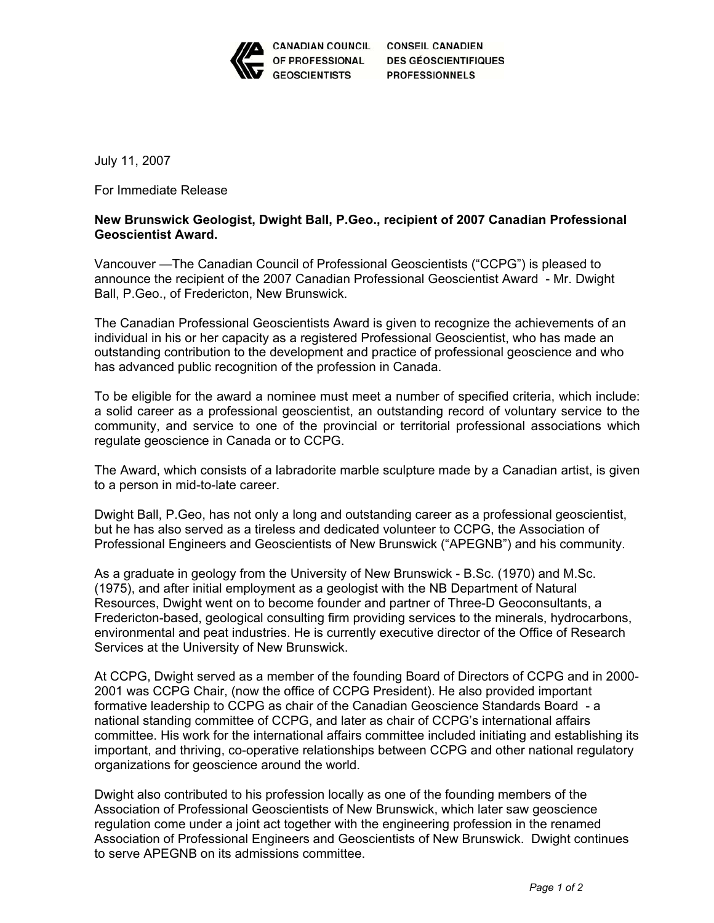

CANADIAN COUNCIL CONSEIL CANADIEN **DES GÉOSCIENTIFIQUES PROFESSIONNELS** 

July 11, 2007

For Immediate Release

## **New Brunswick Geologist, Dwight Ball, P.Geo., recipient of 2007 Canadian Professional Geoscientist Award.**

Vancouver —The Canadian Council of Professional Geoscientists ("CCPG") is pleased to announce the recipient of the 2007 Canadian Professional Geoscientist Award - Mr. Dwight Ball, P.Geo., of Fredericton, New Brunswick.

The Canadian Professional Geoscientists Award is given to recognize the achievements of an individual in his or her capacity as a registered Professional Geoscientist, who has made an outstanding contribution to the development and practice of professional geoscience and who has advanced public recognition of the profession in Canada.

To be eligible for the award a nominee must meet a number of specified criteria, which include: a solid career as a professional geoscientist, an outstanding record of voluntary service to the community, and service to one of the provincial or territorial professional associations which regulate geoscience in Canada or to CCPG.

The Award, which consists of a labradorite marble sculpture made by a Canadian artist, is given to a person in mid-to-late career.

Dwight Ball, P.Geo, has not only a long and outstanding career as a professional geoscientist, but he has also served as a tireless and dedicated volunteer to CCPG, the Association of Professional Engineers and Geoscientists of New Brunswick ("APEGNB") and his community.

As a graduate in geology from the University of New Brunswick - B.Sc. (1970) and M.Sc. (1975), and after initial employment as a geologist with the NB Department of Natural Resources, Dwight went on to become founder and partner of Three-D Geoconsultants, a Fredericton-based, geological consulting firm providing services to the minerals, hydrocarbons, environmental and peat industries. He is currently executive director of the Office of Research Services at the University of New Brunswick.

At CCPG, Dwight served as a member of the founding Board of Directors of CCPG and in 2000- 2001 was CCPG Chair, (now the office of CCPG President). He also provided important formative leadership to CCPG as chair of the Canadian Geoscience Standards Board - a national standing committee of CCPG, and later as chair of CCPG's international affairs committee. His work for the international affairs committee included initiating and establishing its important, and thriving, co-operative relationships between CCPG and other national regulatory organizations for geoscience around the world.

Dwight also contributed to his profession locally as one of the founding members of the Association of Professional Geoscientists of New Brunswick, which later saw geoscience regulation come under a joint act together with the engineering profession in the renamed Association of Professional Engineers and Geoscientists of New Brunswick. Dwight continues to serve APEGNB on its admissions committee.